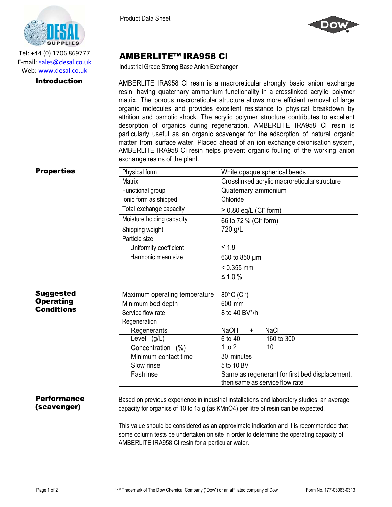



## AMBERLITE™ IRA958 Cl

Industrial Grade Strong Base Anion Exchanger

**Introduction** AMBERLITE IRA958 CI resin is a macroreticular strongly basic anion exchange resin having quaternary ammonium functionality in a crosslinked acrylic polymer matrix. The porous macroreticular structure allows more efficient removal of large organic molecules and provides excellent resistance to physical breakdown by attrition and osmotic shock. The acrylic polymer structure contributes to excellent desorption of organics during regeneration. AMBERLITE IRA958 Cl resin is particularly useful as an organic scavenger for the adsorption of natural organic matter from surface water. Placed ahead of an ion exchange deionisation system, AMBERLITE IRA958 Cl resin helps prevent organic fouling of the working anion exchange resins of the plant.

Matrix Matrix Crosslinked acrylic macroreticular structure

- form)

- form)

Functional group **COU** Quaternary ammonium

Ionic form as shipped Chloride

Shipping weight 720 g/L

Uniformity coefficient  $| \leq 1.8$ 

Harmonic mean size | 630 to 850 µm

Total exchange capacity

Moisture holding capacity

Particle size

## **Properties** | Physical form | White opaque spherical beads

Tel: +44 (0) 1706 869777 E‐mail: sales@desal.co.uk Web: www.desal.co.uk

| <b>Suggested</b> |  |
|------------------|--|
| <b>Operating</b> |  |

| Suggested  |  |
|------------|--|
| Operating  |  |
| Conditions |  |

| Maximum operating temperature | 80°C (CI-)                                     |  |
|-------------------------------|------------------------------------------------|--|
| Minimum bed depth             | 600 mm                                         |  |
| Service flow rate             | 8 to 40 BV*/h                                  |  |
| Regeneration                  |                                                |  |
| Regenerants                   | NaOH<br><b>NaCl</b><br>$+$                     |  |
| (g/L)<br>Level                | 6 to 40<br>160 to 300                          |  |
| Concentration<br>(% )         | 1 to $2$<br>10                                 |  |
| Minimum contact time          | 30 minutes                                     |  |
| Slow rinse                    | 5 to 10 BV                                     |  |
| <b>Fastrinse</b>              | Same as regenerant for first bed displacement, |  |
|                               | then same as service flow rate                 |  |

 $< 0.355$  mm ≤ 1.0 %

## **Performance** (scavenger)

Based on previous experience in industrial installations and laboratory studies, an average capacity for organics of 10 to 15 g (as KMnO4) per litre of resin can be expected.

This value should be considered as an approximate indication and it is recommended that some column tests be undertaken on site in order to determine the operating capacity of AMBERLITE IRA958 Cl resin for a particular water.